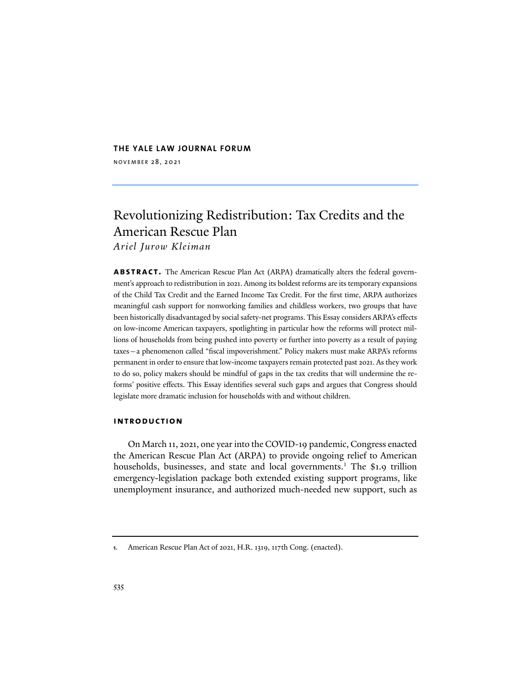# **THE YALE LAW JOURNAL FORUM**

NOVEMBER 28, 2021

# Revolutionizing Redistribution: Tax Credits and the American Rescue Plan

*Ariel Jurow Kleiman*

**abstract.** The American Rescue Plan Act (ARPA) dramatically alters the federal government's approach to redistribution in 2021. Among its boldest reforms are its temporary expansions of the Child Tax Credit and the Earned Income Tax Credit. For the first time, ARPA authorizes meaningful cash support for nonworking families and childless workers, two groups that have been historically disadvantaged by social safety-net programs. This Essay considers ARPA's effects on low-income American taxpayers, spotlighting in particular how the reforms will protect millions of households from being pushed into poverty or further into poverty as a result of paying taxes—a phenomenon called "fiscal impoverishment." Policy makers must make ARPA's reforms permanent in order to ensure that low-income taxpayers remain protected past 2021. As they work to do so, policy makers should be mindful of gaps in the tax credits that will undermine the reforms' positive effects. This Essay identifies several such gaps and argues that Congress should legislate more dramatic inclusion for households with and without children.

#### **introduction**

On March 11, 2021, one year into the COVID-19 pandemic, Congress enacted the American Rescue Plan Act (ARPA) to provide ongoing relief to American households, businesses, and state and local governments.<sup>1</sup> The \$1.9 trillion emergency-legislation package both extended existing support programs, like unemployment insurance, and authorized much-needed new support, such as

**<sup>1</sup>**. American Rescue Plan Act of 2021, H.R. 1319, 117th Cong. (enacted).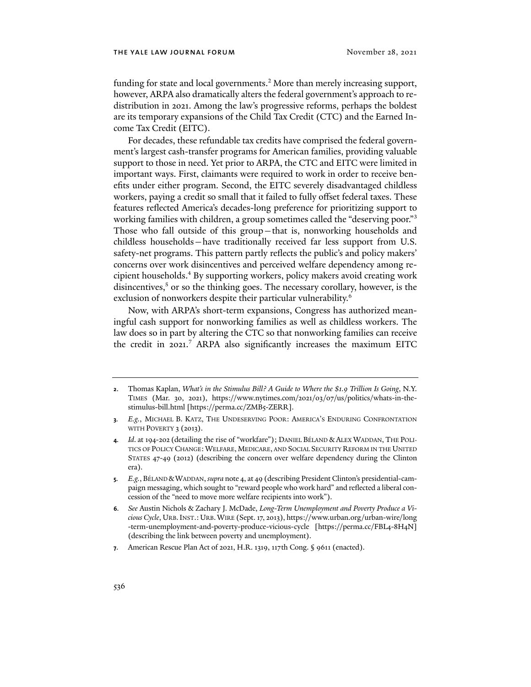funding for state and local governments.<sup>2</sup> More than merely increasing support, however, ARPA also dramatically alters the federal government's approach to redistribution in 2021. Among the law's progressive reforms, perhaps the boldest are its temporary expansions of the Child Tax Credit (CTC) and the Earned Income Tax Credit (EITC).

For decades, these refundable tax credits have comprised the federal government's largest cash-transfer programs for American families, providing valuable support to those in need. Yet prior to ARPA, the CTC and EITC were limited in important ways. First, claimants were required to work in order to receive benefits under either program. Second, the EITC severely disadvantaged childless workers, paying a credit so small that it failed to fully offset federal taxes. These features reflected America's decades-long preference for prioritizing support to working families with children, a group sometimes called the "deserving poor."3 Those who fall outside of this group—that is, nonworking households and childless households—have traditionally received far less support from U.S. safety-net programs. This pattern partly reflects the public's and policy makers' concerns over work disincentives and perceived welfare dependency among recipient households.4 By supporting workers, policy makers avoid creating work disincentives, $5$  or so the thinking goes. The necessary corollary, however, is the exclusion of nonworkers despite their particular vulnerability.<sup>6</sup>

Now, with ARPA's short-term expansions, Congress has authorized meaningful cash support for nonworking families as well as childless workers. The law does so in part by altering the CTC so that nonworking families can receive the credit in 2021. <sup>7</sup> ARPA also significantly increases the maximum EITC

**<sup>2</sup>**. Thomas Kaplan, *What's in the Stimulus Bill? A Guide to Where the \$1.9 Trillion Is Going*, N.Y. TIMES (Mar. 30, 2021), https://www.nytimes.com/2021/03/07/us/politics/whats-in-thestimulus-bill.html [https://perma.cc/ZMB5-ZERR].

**<sup>3</sup>***. E.g.*, MICHAEL B. KATZ, THE UNDESERVING POOR: AMERICA'S ENDURING CONFRONTATION WITH POVERTY 3 (2013).

**<sup>4</sup>***. Id*. at 194-202 (detailing the rise of "workfare"); DANIEL BÉLAND & ALEX WADDAN, THE POLI-TICS OF POLICY CHANGE: WELFARE, MEDICARE, AND SOCIAL SECURITY REFORM IN THE UNITED STATES 47-49 (2012) (describing the concern over welfare dependency during the Clinton era).

**<sup>5</sup>***. E.g.*, BÉLAND &WADDAN, *supra* note 4, at 49 (describing President Clinton's presidential-campaign messaging, which sought to "reward people who work hard" and reflected a liberal concession of the "need to move more welfare recipients into work").

**<sup>6</sup>***. See* Austin Nichols & Zachary J. McDade, *Long-Term Unemployment and Poverty Produce a Vicious Cycle*, URB.INST.:URB.WIRE (Sept. 17, 2013), https://www.urban.org/urban-wire/long -term-unemployment-and-poverty-produce-vicious-cycle [https://perma.cc/FBL4-8H4N] (describing the link between poverty and unemployment).

**<sup>7</sup>**. American Rescue Plan Act of 2021, H.R. 1319, 117th Cong. § 9611 (enacted).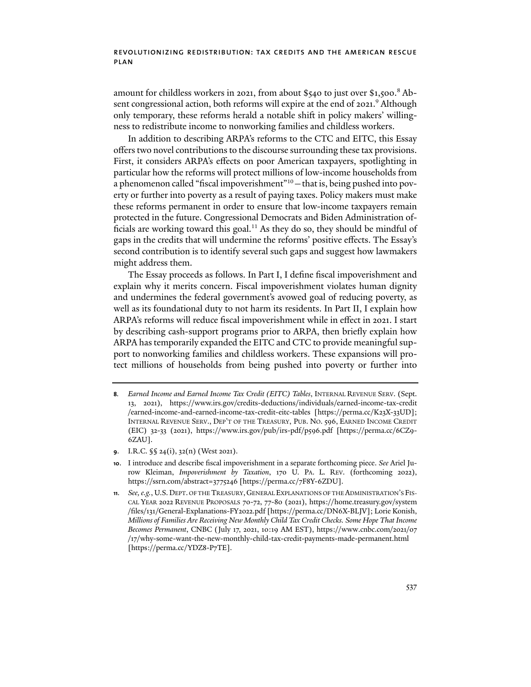amount for childless workers in 2021, from about \$540 to just over \$1,500. <sup>8</sup> Absent congressional action, both reforms will expire at the end of 2021.<sup>9</sup> Although only temporary, these reforms herald a notable shif in policy makers' willingness to redistribute income to nonworking families and childless workers.

In addition to describing ARPA's reforms to the CTC and EITC, this Essay offers two novel contributions to the discourse surrounding these tax provisions. First, it considers ARPA's effects on poor American taxpayers, spotlighting in particular how the reforms will protect millions of low-income households from a phenomenon called "fiscal impoverishment"<sup>10</sup> - that is, being pushed into poverty or further into poverty as a result of paying taxes. Policy makers must make these reforms permanent in order to ensure that low-income taxpayers remain protected in the future. Congressional Democrats and Biden Administration officials are working toward this goal.<sup>11</sup> As they do so, they should be mindful of gaps in the credits that will undermine the reforms' positive effects. The Essay's second contribution is to identify several such gaps and suggest how lawmakers might address them.

The Essay proceeds as follows. In Part I, I define fiscal impoverishment and explain why it merits concern. Fiscal impoverishment violates human dignity and undermines the federal government's avowed goal of reducing poverty, as well as its foundational duty to not harm its residents. In Part II, I explain how ARPA's reforms will reduce fiscal impoverishment while in effect in 2021. I start by describing cash-support programs prior to ARPA, then briefly explain how ARPA has temporarily expanded the EITC and CTC to provide meaningful support to nonworking families and childless workers. These expansions will protect millions of households from being pushed into poverty or further into

**9**. I.R.C. §§ 24(i), 32(n) (West 2021).

**<sup>8</sup>***. Earned Income and Earned Income Tax Credit (EITC) Tables*, INTERNAL REVENUE SERV. (Sept. 13, 2021), https://www.irs.gov/credits-deductions/individuals/earned-income-tax-credit /earned-income-and-earned-income-tax-credit-eitc-tables [https://perma.cc/K23X-33UD]; INTERNAL REVENUE SERV., DEP'T OF THE TREASURY, PUB. NO. 596, EARNED INCOME CREDIT (EIC) 32-33 (2021), https://www.irs.gov/pub/irs-pdf/p596.pdf [https://perma.cc/6CZ9- 6ZAU].

**<sup>10</sup>**. I introduce and describe fiscal impoverishment in a separate forthcoming piece. *See* Ariel Jurow Kleiman, *Impoverishment by Taxation*, 170 U. PA. L. REV. (forthcoming 2022), https://ssrn.com/abstract=3775246 [https://perma.cc/7F8Y-6ZDU].

**<sup>11</sup>***. See,e.g.*, U.S. DEPT. OF THE TREASURY,GENERAL EXPLANATIONS OF THE ADMINISTRATION'S FIS-CAL YEAR 2022 REVENUE PROPOSALS 70-72, 77-80 (2021), https://home.treasury.gov/system /files/131/General-Explanations-FY2022.pdf [https://perma.cc/DN6X-BLJV]; Lorie Konish, *Millions of Families Are Receiving New Monthly Child Tax Credit Checks. Some Hope That Income Becomes Permanent*, CNBC (July 17, 2021, 10:19 AM EST), https://www.cnbc.com/2021/07 /17/why-some-want-the-new-monthly-child-tax-credit-payments-made-permanent.html [https://perma.cc/YDZ8-P7TE].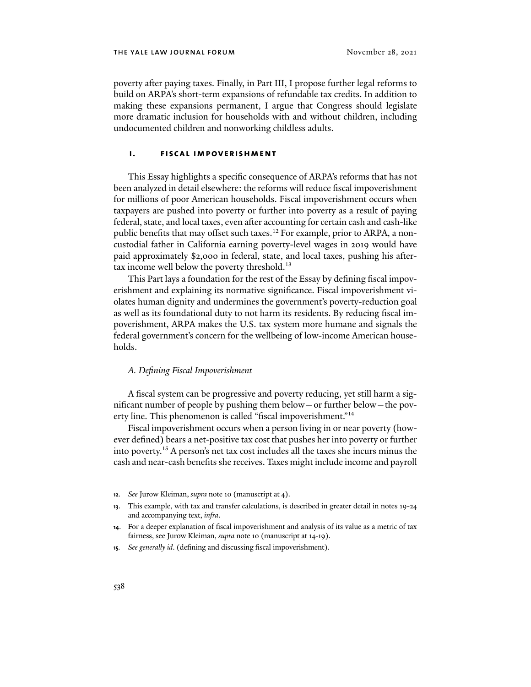poverty afer paying taxes. Finally, in Part III, I propose further legal reforms to build on ARPA's short-term expansions of refundable tax credits. In addition to making these expansions permanent, I argue that Congress should legislate more dramatic inclusion for households with and without children, including undocumented children and nonworking childless adults.

#### **i. fiscal impoverishment**

This Essay highlights a specific consequence of ARPA's reforms that has not been analyzed in detail elsewhere: the reforms will reduce fiscal impoverishment for millions of poor American households. Fiscal impoverishment occurs when taxpayers are pushed into poverty or further into poverty as a result of paying federal, state, and local taxes, even afer accounting for certain cash and cash-like public benefits that may offset such taxes.<sup>12</sup> For example, prior to ARPA, a noncustodial father in California earning poverty-level wages in 2019 would have paid approximately \$2,000 in federal, state, and local taxes, pushing his afertax income well below the poverty threshold.<sup>13</sup>

This Part lays a foundation for the rest of the Essay by defining fiscal impoverishment and explaining its normative significance. Fiscal impoverishment violates human dignity and undermines the government's poverty-reduction goal as well as its foundational duty to not harm its residents. By reducing fiscal impoverishment, ARPA makes the U.S. tax system more humane and signals the federal government's concern for the wellbeing of low-income American households.

#### *A. Defining Fiscal Impoverishment*

A fiscal system can be progressive and poverty reducing, yet still harm a significant number of people by pushing them below—or further below—the poverty line. This phenomenon is called "fiscal impoverishment."14

Fiscal impoverishment occurs when a person living in or near poverty (however defined) bears a net-positive tax cost that pushes her into poverty or further into poverty.15 A person's net tax cost includes all the taxes she incurs minus the cash and near-cash benefits she receives. Taxes might include income and payroll

**<sup>12</sup>***. See* Jurow Kleiman, *supra* note 10 (manuscript at 4).

**<sup>13</sup>**. This example, with tax and transfer calculations, is described in greater detail in notes 19-24 and accompanying text, *infra*.

**<sup>14</sup>**. For a deeper explanation of fiscal impoverishment and analysis of its value as a metric of tax fairness, see Jurow Kleiman, *supra* note 10 (manuscript at 14-19).

**<sup>15</sup>***. See generally id*. (defining and discussing fiscal impoverishment).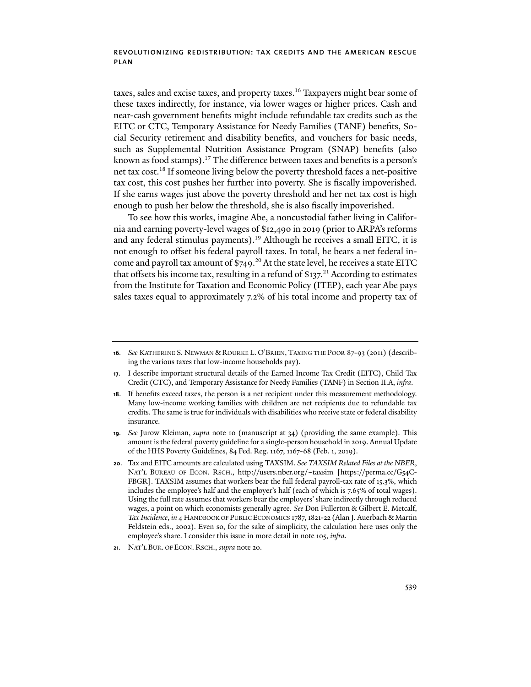taxes, sales and excise taxes, and property taxes.<sup>16</sup> Taxpayers might bear some of these taxes indirectly, for instance, via lower wages or higher prices. Cash and near-cash government benefits might include refundable tax credits such as the EITC or CTC, Temporary Assistance for Needy Families (TANF) benefits, Social Security retirement and disability benefits, and vouchers for basic needs, such as Supplemental Nutrition Assistance Program (SNAP) benefits (also known as food stamps).<sup>17</sup> The difference between taxes and benefits is a person's net tax cost.18 If someone living below the poverty threshold faces a net-positive tax cost, this cost pushes her further into poverty. She is fiscally impoverished. If she earns wages just above the poverty threshold and her net tax cost is high enough to push her below the threshold, she is also fiscally impoverished.

To see how this works, imagine Abe, a noncustodial father living in California and earning poverty-level wages of \$12,490 in 2019 (prior to ARPA's reforms and any federal stimulus payments).<sup>19</sup> Although he receives a small EITC, it is not enough to offset his federal payroll taxes. In total, he bears a net federal income and payroll tax amount of  $$749.<sup>20</sup>$  At the state level, he receives a state EITC that offsets his income tax, resulting in a refund of  $$137<sup>21</sup>$  According to estimates from the Institute for Taxation and Economic Policy (ITEP), each year Abe pays sales taxes equal to approximately 7.2% of his total income and property tax of

**<sup>16</sup>***. See* KATHERINE S. NEWMAN & ROURKE L. O'BRIEN, TAXING THE POOR 87-93 (2011) (describing the various taxes that low-income households pay).

**<sup>17</sup>**. I describe important structural details of the Earned Income Tax Credit (EITC), Child Tax Credit (CTC), and Temporary Assistance for Needy Families (TANF) in Section II.A, *infra*.

**<sup>18</sup>**. If benefits exceed taxes, the person is a net recipient under this measurement methodology. Many low-income working families with children are net recipients due to refundable tax credits. The same is true for individuals with disabilities who receive state or federal disability insurance.

**<sup>19</sup>***. See* Jurow Kleiman, *supra* note 10 (manuscript at 34) (providing the same example). This amount is the federal poverty guideline for a single-person household in 2019. Annual Update of the HHS Poverty Guidelines, 84 Fed. Reg. 1167, 1167-68 (Feb. 1, 2019).

**<sup>20</sup>**. Tax and EITC amounts are calculated using TAXSIM. *See TAXSIM Related Files at the NBER*, NAT'L BUREAU OF ECON. RSCH., http://users.nber.org/~taxsim [https://perma.cc/G54C-FBGR]. TAXSIM assumes that workers bear the full federal payroll-tax rate of 15.3%, which includes the employee's half and the employer's half (each of which is 7.65% of total wages). Using the full rate assumes that workers bear the employers' share indirectly through reduced wages, a point on which economists generally agree. *See* Don Fullerton & Gilbert E. Metcalf, *Tax Incidence*, *in* 4 HANDBOOK OF PUBLIC ECONOMICS 1787, 1821-22 (Alan J. Auerbach & Martin Feldstein eds., 2002). Even so, for the sake of simplicity, the calculation here uses only the employee's share. I consider this issue in more detail in note 105, *infra*.

**<sup>21</sup>**. NAT'L BUR. OF ECON. RSCH., *supra* note 20.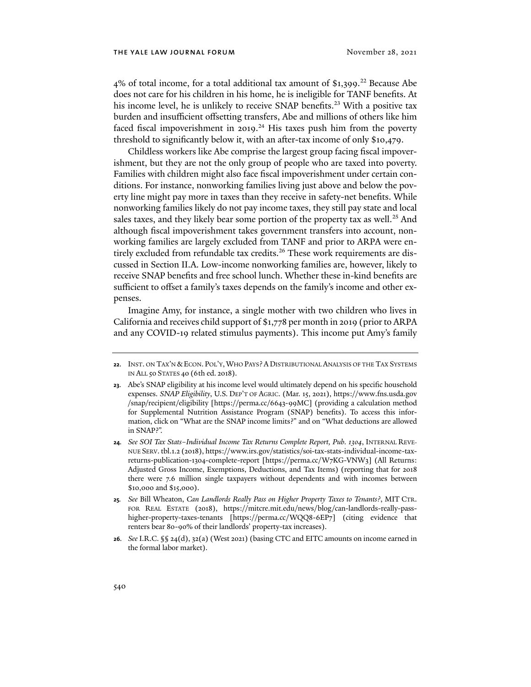$4\%$  of total income, for a total additional tax amount of \$1,399.<sup>22</sup> Because Abe does not care for his children in his home, he is ineligible for TANF benefits. At his income level, he is unlikely to receive SNAP benefits.<sup>23</sup> With a positive tax burden and insufficient offsetting transfers, Abe and millions of others like him faced fiscal impoverishment in 2019.<sup>24</sup> His taxes push him from the poverty threshold to significantly below it, with an afer-tax income of only \$10,479.

Childless workers like Abe comprise the largest group facing fiscal impoverishment, but they are not the only group of people who are taxed into poverty. Families with children might also face fiscal impoverishment under certain conditions. For instance, nonworking families living just above and below the poverty line might pay more in taxes than they receive in safety-net benefits. While nonworking families likely do not pay income taxes, they still pay state and local sales taxes, and they likely bear some portion of the property tax as well.<sup>25</sup> And although fiscal impoverishment takes government transfers into account, nonworking families are largely excluded from TANF and prior to ARPA were entirely excluded from refundable tax credits.<sup>26</sup> These work requirements are discussed in Section II.A. Low-income nonworking families are, however, likely to receive SNAP benefits and free school lunch. Whether these in-kind benefits are sufficient to offset a family's taxes depends on the family's income and other expenses.

Imagine Amy, for instance, a single mother with two children who lives in California and receives child support of \$1,778 per month in 2019 (prior to ARPA and any COVID-19 related stimulus payments). This income put Amy's family

**26***. See* I.R.C. §§ 24(d), 32(a) (West 2021) (basing CTC and EITC amounts on income earned in the formal labor market).

**<sup>22</sup>**. INST. ON TAX'N &ECON. POL'Y,WHO PAYS? A DISTRIBUTIONAL ANALYSIS OF THE TAX SYSTEMS IN ALL 50 STATES 40 (6th ed. 2018).

**<sup>23</sup>**. Abe's SNAP eligibility at his income level would ultimately depend on his specific household expenses. *SNAP Eligibility*, U.S. DEP'T OF AGRIC. (Mar. 15, 2021), https://www.fns.usda.gov /snap/recipient/eligibility [https://perma.cc/6643-99MC] (providing a calculation method for Supplemental Nutrition Assistance Program (SNAP) benefits). To access this information, click on "What are the SNAP income limits?" and on "What deductions are allowed in SNAP?".

**<sup>24</sup>***. See SOI Tax Stats–Individual Income Tax Returns Complete Report, Pub. 1304*, INTERNAL REVE-NUE SERV. tbl.1.2 (2018), https://www.irs.gov/statistics/soi-tax-stats-individual-income-taxreturns-publication-1304-complete-report [https://perma.cc/W7KG-VNW3] (All Returns: Adjusted Gross Income, Exemptions, Deductions, and Tax Items) (reporting that for 2018 there were 7.6 million single taxpayers without dependents and with incomes between \$10,000 and \$15,000).

**<sup>25</sup>***. See* Bill Wheaton, *Can Landlords Really Pass on Higher Property Taxes to Tenants?*, MIT CTR. FOR REAL ESTATE (2018), https://mitcre.mit.edu/news/blog/can-landlords-really-passhigher-property-taxes-tenants [https://perma.cc/WQQ8-6EP7] (citing evidence that renters bear 80-90% of their landlords' property-tax increases).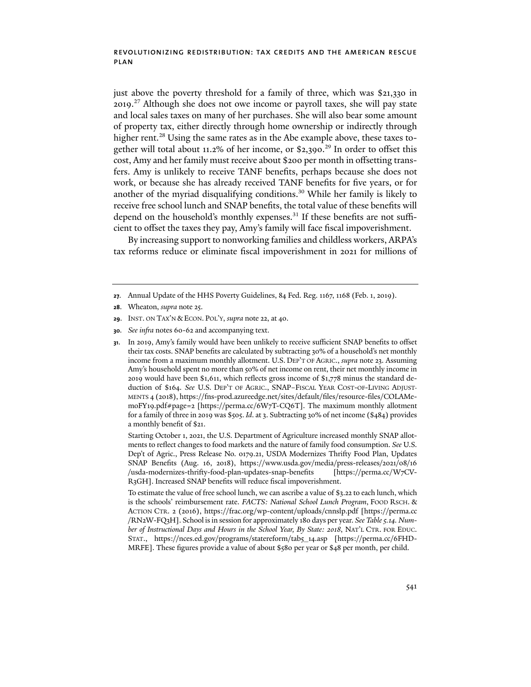just above the poverty threshold for a family of three, which was \$21,330 in 2019.<sup>27</sup> Although she does not owe income or payroll taxes, she will pay state and local sales taxes on many of her purchases. She will also bear some amount of property tax, either directly through home ownership or indirectly through higher rent.<sup>28</sup> Using the same rates as in the Abe example above, these taxes together will total about 11.2% of her income, or \$2,390.<sup>29</sup> In order to offset this cost, Amy and her family must receive about \$200 per month in offsetting transfers. Amy is unlikely to receive TANF benefits, perhaps because she does not work, or because she has already received TANF benefits for five years, or for another of the myriad disqualifying conditions.30 While her family is likely to receive free school lunch and SNAP benefits, the total value of these benefits will depend on the household's monthly expenses. $31$  If these benefits are not sufficient to offset the taxes they pay, Amy's family will face fiscal impoverishment.

By increasing support to nonworking families and childless workers, ARPA's tax reforms reduce or eliminate fiscal impoverishment in 2021 for millions of

Starting October 1, 2021, the U.S. Department of Agriculture increased monthly SNAP allotments to reflect changes to food markets and the nature of family food consumption. *See* U.S. Dep't of Agric., Press Release No. 0179.21, USDA Modernizes Thrify Food Plan, Updates SNAP Benefits (Aug. 16, 2018), https://www.usda.gov/media/press-releases/2021/08/16 /usda-modernizes-thrify-food-plan-updates-snap-benefits [https://perma.cc/W7CV-R3GH]. Increased SNAP benefits will reduce fiscal impoverishment.

To estimate the value of free school lunch, we can ascribe a value of \$3.22 to each lunch, which is the schools' reimbursement rate. *FACTS: National School Lunch Program*, FOOD RSCH. & ACTION CTR. 2 (2016), https://frac.org/wp-content/uploads/cnnslp.pdf [https://perma.cc /RN2W-FQ3H]. School is in session for approximately 180 days per year. *See Table 5.14. Number of Instructional Days and Hours in the School Year, By State: 2018*, NAT'L CTR. FOR EDUC. STAT., https://nces.ed.gov/programs/statereform/tab5\_14.asp [https://perma.cc/6FHD-MRFE]. These figures provide a value of about \$580 per year or \$48 per month, per child.

**<sup>27</sup>**. Annual Update of the HHS Poverty Guidelines, 84 Fed. Reg. 1167, 1168 (Feb. 1, 2019).

**<sup>28</sup>**. Wheaton, *supra* note 25.

**<sup>29</sup>**. INST. ON TAX'N &ECON. POL'Y, *supra* note 22, at 40.

**<sup>30</sup>***. See infra* notes 60-62 and accompanying text.

**<sup>31</sup>**. In 2019, Amy's family would have been unlikely to receive sufficient SNAP benefits to offset their tax costs. SNAP benefits are calculated by subtracting 30% of a household's net monthly income from a maximum monthly allotment. U.S. DEP'T OF AGRIC., *supra* note 23. Assuming Amy's household spent no more than 50% of net income on rent, their net monthly income in 2019 would have been \$1,611, which reflects gross income of \$1,778 minus the standard deduction of \$164. *See* U.S. DEP'T OF AGRIC., SNAP–FISCAL YEAR COST-OF-LIVING ADJUST-MENTS 4 (2018), https://fns-prod.azureedge.net/sites/default/files/resource-files/COLAMemoFY19.pdf#page=2 [https://perma.cc/6W7T-CQ6T]. The maximum monthly allotment for a family of three in 2019 was \$505. *Id*. at 3. Subtracting 30% of net income (\$484) provides a monthly benefit of \$21.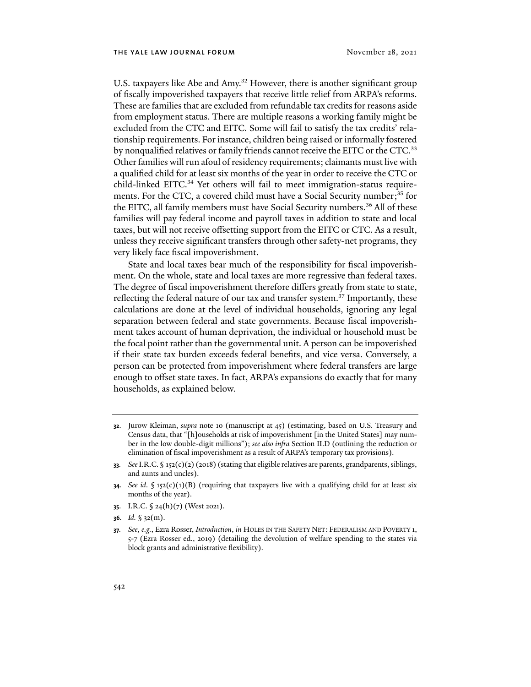U.S. taxpayers like Abe and Amy.<sup>32</sup> However, there is another significant group of fiscally impoverished taxpayers that receive little relief from ARPA's reforms. These are families that are excluded from refundable tax credits for reasons aside from employment status. There are multiple reasons a working family might be excluded from the CTC and EITC. Some will fail to satisfy the tax credits' relationship requirements. For instance, children being raised or informally fostered by nonqualified relatives or family friends cannot receive the EITC or the CTC.<sup>33</sup> Other families will run afoul of residency requirements; claimants must live with a qualified child for at least six months of the year in order to receive the CTC or child-linked EITC.<sup>34</sup> Yet others will fail to meet immigration-status requirements. For the CTC, a covered child must have a Social Security number;<sup>35</sup> for the EITC, all family members must have Social Security numbers.<sup>36</sup> All of these families will pay federal income and payroll taxes in addition to state and local taxes, but will not receive offsetting support from the EITC or CTC. As a result, unless they receive significant transfers through other safety-net programs, they very likely face fiscal impoverishment.

State and local taxes bear much of the responsibility for fiscal impoverishment. On the whole, state and local taxes are more regressive than federal taxes. The degree of fiscal impoverishment therefore differs greatly from state to state, reflecting the federal nature of our tax and transfer system.<sup>37</sup> Importantly, these calculations are done at the level of individual households, ignoring any legal separation between federal and state governments. Because fiscal impoverishment takes account of human deprivation, the individual or household must be the focal point rather than the governmental unit. A person can be impoverished if their state tax burden exceeds federal benefits, and vice versa. Conversely, a person can be protected from impoverishment where federal transfers are large enough to offset state taxes. In fact, ARPA's expansions do exactly that for many households, as explained below.

- **32**. Jurow Kleiman, *supra* note 10 (manuscript at 45) (estimating, based on U.S. Treasury and Census data, that "[h]ouseholds at risk of impoverishment [in the United States] may number in the low double-digit millions"); *see also infra* Section II.D (outlining the reduction or elimination of fiscal impoverishment as a result of ARPA's temporary tax provisions).
- **33***. See*I.R.C. § 152(c)(2) (2018) (stating that eligible relatives are parents, grandparents, siblings, and aunts and uncles).
- **34***. See id.* § 152(c)(1)(B) (requiring that taxpayers live with a qualifying child for at least six months of the year).
- **35**. I.R.C. § 24(h)(7) (West 2021).
- **36***. Id.* § 32(m).
- **37***. See, e.g.*, Ezra Rosser, *Introduction*, *in* HOLES IN THE SAFETY NET: FEDERALISM AND POVERTY 1, 5-7 (Ezra Rosser ed., 2019) (detailing the devolution of welfare spending to the states via block grants and administrative flexibility).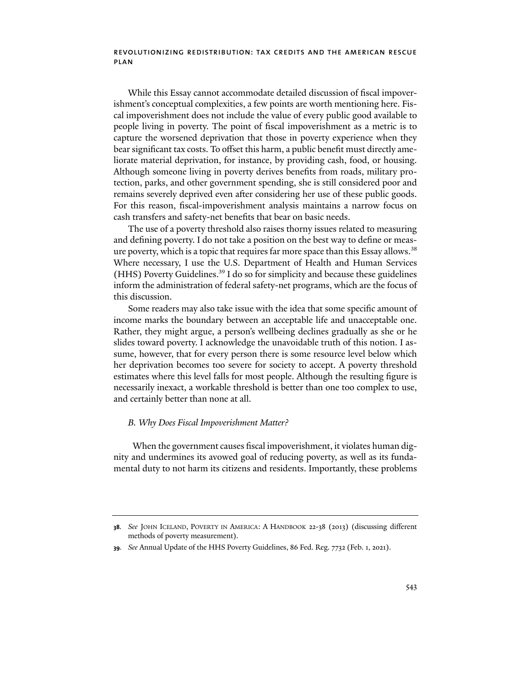While this Essay cannot accommodate detailed discussion of fiscal impoverishment's conceptual complexities, a few points are worth mentioning here. Fiscal impoverishment does not include the value of every public good available to people living in poverty. The point of fiscal impoverishment as a metric is to capture the worsened deprivation that those in poverty experience when they bear significant tax costs. To offset this harm, a public benefit must directly ameliorate material deprivation, for instance, by providing cash, food, or housing. Although someone living in poverty derives benefits from roads, military protection, parks, and other government spending, she is still considered poor and remains severely deprived even afer considering her use of these public goods. For this reason, fiscal-impoverishment analysis maintains a narrow focus on cash transfers and safety-net benefits that bear on basic needs.

The use of a poverty threshold also raises thorny issues related to measuring and defining poverty. I do not take a position on the best way to define or measure poverty, which is a topic that requires far more space than this Essay allows.38 Where necessary, I use the U.S. Department of Health and Human Services (HHS) Poverty Guidelines.39 I do so for simplicity and because these guidelines inform the administration of federal safety-net programs, which are the focus of this discussion.

Some readers may also take issue with the idea that some specific amount of income marks the boundary between an acceptable life and unacceptable one. Rather, they might argue, a person's wellbeing declines gradually as she or he slides toward poverty. I acknowledge the unavoidable truth of this notion. I assume, however, that for every person there is some resource level below which her deprivation becomes too severe for society to accept. A poverty threshold estimates where this level falls for most people. Although the resulting figure is necessarily inexact, a workable threshold is better than one too complex to use, and certainly better than none at all.

#### *B. Why Does Fiscal Impoverishment Matter?*

When the government causes fiscal impoverishment, it violates human dignity and undermines its avowed goal of reducing poverty, as well as its fundamental duty to not harm its citizens and residents. Importantly, these problems

**<sup>38</sup>***. See* JOHN ICELAND, POVERTY IN AMERICA: A HANDBOOK 22-38 (2013) (discussing different methods of poverty measurement).

**<sup>39</sup>***. See* Annual Update of the HHS Poverty Guidelines, 86 Fed. Reg. 7732 (Feb. 1, 2021).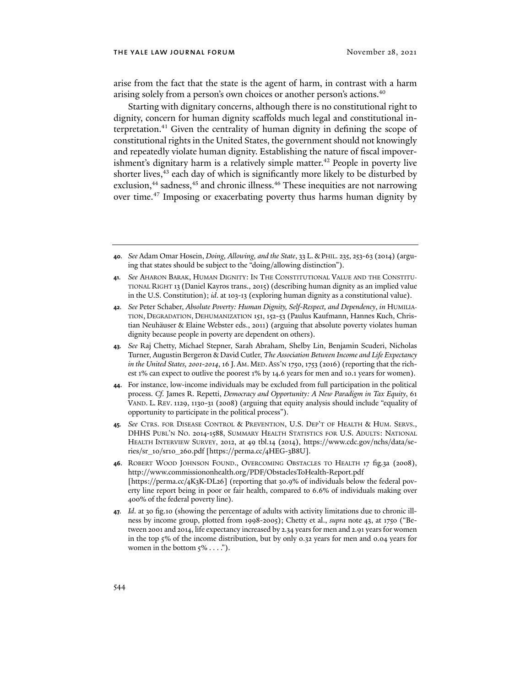arise from the fact that the state is the agent of harm, in contrast with a harm arising solely from a person's own choices or another person's actions.<sup>40</sup>

Starting with dignitary concerns, although there is no constitutional right to dignity, concern for human dignity scaffolds much legal and constitutional interpretation.41 Given the centrality of human dignity in defining the scope of constitutional rights in the United States, the government should not knowingly and repeatedly violate human dignity. Establishing the nature of fiscal impoverishment's dignitary harm is a relatively simple matter.<sup>42</sup> People in poverty live shorter lives,<sup>43</sup> each day of which is significantly more likely to be disturbed by exclusion,<sup>44</sup> sadness,<sup>45</sup> and chronic illness.<sup>46</sup> These inequities are not narrowing over time.47 Imposing or exacerbating poverty thus harms human dignity by

- **42***. See* Peter Schaber, *Absolute Poverty: Human Dignity, Self-Respect, and Dependency*, *in* HUMILIA-TION, DEGRADATION, DEHUMANIZATION 151, 152-53 (Paulus Kaufmann, Hannes Kuch, Christian Neuhäuser & Elaine Webster eds., 2011) (arguing that absolute poverty violates human dignity because people in poverty are dependent on others).
- **43***. See* Raj Chetty, Michael Stepner, Sarah Abraham, Shelby Lin, Benjamin Scuderi, Nicholas Turner, Augustin Bergeron & David Cutler, *The Association Between Income and Life Expectancy in the United States, 2001-2014*, 16 J. AM. MED. ASS'N 1750, 1753 (2016) (reporting that the richest 1% can expect to outlive the poorest 1% by 14.6 years for men and 10.1 years for women).
- **44**. For instance, low-income individuals may be excluded from full participation in the political process. *Cf*. James R. Repetti, *Democracy and Opportunity: A New Paradigm in Tax Equity*, 61 VAND. L. REV. 1129, 1130-31 (2008) (arguing that equity analysis should include "equality of opportunity to participate in the political process").
- **45***. See* CTRS. FOR DISEASE CONTROL & PREVENTION, U.S. DEP'T OF HEALTH & HUM. SERVS., DHHS PUBL'N NO. 2014-1588, SUMMARY HEALTH STATISTICS FOR U.S. ADULTS: NATIONAL HEALTH INTERVIEW SURVEY, 2012, at 49 tbl.14 (2014), https://www.cdc.gov/nchs/data/series/sr\_10/sr10\_260.pdf [https://perma.cc/4HEG-3B8U].
- **46**. ROBERT WOOD JOHNSON FOUND., OVERCOMING OBSTACLES TO HEALTH 17 fig.3a (2008), http://www.commissiononhealth.org/PDF/ObstaclesToHealth-Report.pdf [https://perma.cc/4K3K-DL26] (reporting that 30.9% of individuals below the federal poverty line report being in poor or fair health, compared to 6.6% of individuals making over 400% of the federal poverty line).
- **47***. Id*. at 30 fig.10 (showing the percentage of adults with activity limitations due to chronic illness by income group, plotted from 1998-2005); Chetty et al., *supra* note 43, at 1750 ("Between 2001 and 2014, life expectancy increased by 2.34 years for men and 2.91 years for women in the top 5% of the income distribution, but by only 0.32 years for men and 0.04 years for women in the bottom  $5\% \ldots$ .").

**<sup>40</sup>***. See* Adam Omar Hosein, *Doing, Allowing, and the State*, 33 L.&PHIL. 235, 253-63 (2014) (arguing that states should be subject to the "doing/allowing distinction").

**<sup>41</sup>***. See* AHARON BARAK, HUMAN DIGNITY: IN THE CONSTITUTIONAL VALUE AND THE CONSTITU-TIONAL RIGHT 13 (Daniel Kayros trans., 2015) (describing human dignity as an implied value in the U.S. Constitution); *id*. at 103-13 (exploring human dignity as a constitutional value).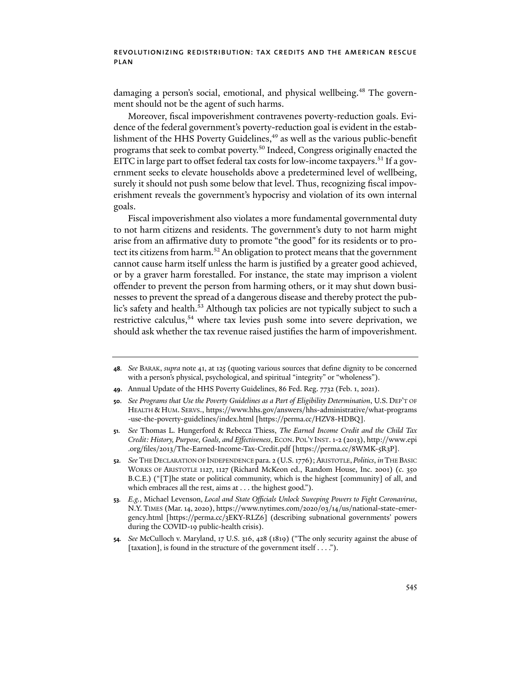damaging a person's social, emotional, and physical wellbeing.<sup>48</sup> The government should not be the agent of such harms.

Moreover, fiscal impoverishment contravenes poverty-reduction goals. Evidence of the federal government's poverty-reduction goal is evident in the establishment of the HHS Poverty Guidelines,<sup>49</sup> as well as the various public-benefit programs that seek to combat poverty.50 Indeed, Congress originally enacted the EITC in large part to offset federal tax costs for low-income taxpayers.<sup>51</sup> If a government seeks to elevate households above a predetermined level of wellbeing, surely it should not push some below that level. Thus, recognizing fiscal impoverishment reveals the government's hypocrisy and violation of its own internal goals.

Fiscal impoverishment also violates a more fundamental governmental duty to not harm citizens and residents. The government's duty to not harm might arise from an affirmative duty to promote "the good" for its residents or to protect its citizens from harm.<sup>52</sup> An obligation to protect means that the government cannot cause harm itself unless the harm is justified by a greater good achieved, or by a graver harm forestalled. For instance, the state may imprison a violent offender to prevent the person from harming others, or it may shut down businesses to prevent the spread of a dangerous disease and thereby protect the public's safety and health.<sup>53</sup> Although tax policies are not typically subject to such a restrictive calculus,<sup>54</sup> where tax levies push some into severe deprivation, we should ask whether the tax revenue raised justifies the harm of impoverishment.

- **49**. Annual Update of the HHS Poverty Guidelines, 86 Fed. Reg. 7732 (Feb. 1, 2021).
- **50***. See Programs that Use the Poverty Guidelines as a Part of Eligibility Determination*, U.S. DEP'T OF HEALTH & HUM. SERVS., https://www.hhs.gov/answers/hhs-administrative/what-programs -use-the-poverty-guidelines/index.html [https://perma.cc/HZV8-HDBQ].
- **51***. See* Thomas L. Hungerford & Rebecca Thiess, *The Earned Income Credit and the Child Tax Credit: History, Purpose, Goals, and Effectiveness*, ECON. POL'Y INST. 1-2 (2013), http://www.epi .org/files/2013/The-Earned-Income-Tax-Credit.pdf [https://perma.cc/8WMK-5R3P].
- **52***. See* THE DECLARATION OF INDEPENDENCE para. 2 (U.S. 1776); ARISTOTLE,*Politics*, *in*THE BASIC WORKS OF ARISTOTLE 1127, 1127 (Richard McKeon ed., Random House, Inc. 2001) (c. 350 B.C.E.) ("[T]he state or political community, which is the highest [community] of all, and which embraces all the rest, aims at . . . the highest good.").
- **53***. E.g.*, Michael Levenson, *Local and State Officials Unlock Sweeping Powers to Fight Coronavirus*, N.Y.TIMES (Mar. 14, 2020), https://www.nytimes.com/2020/03/14/us/national-state-emergency.html [https://perma.cc/3EKY-RLZ6] (describing subnational governments' powers during the COVID-19 public-health crisis).
- **54***. See* McCulloch v. Maryland, 17 U.S. 316, 428 (1819) ("The only security against the abuse of [taxation], is found in the structure of the government itself . . . .").

**<sup>48</sup>***. See* BARAK, *supra* note 41, at 125 (quoting various sources that define dignity to be concerned with a person's physical, psychological, and spiritual "integrity" or "wholeness").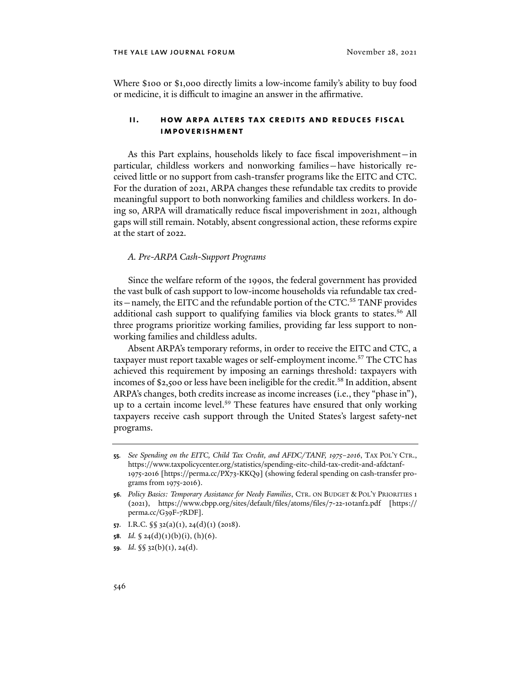Where \$100 or \$1,000 directly limits a low-income family's ability to buy food or medicine, it is difficult to imagine an answer in the affirmative.

# **ii. how arpa alters tax credits and reduces fiscal impoverishment**

As this Part explains, households likely to face fiscal impoverishment—in particular, childless workers and nonworking families—have historically received little or no support from cash-transfer programs like the EITC and CTC. For the duration of 2021, ARPA changes these refundable tax credits to provide meaningful support to both nonworking families and childless workers. In doing so, ARPA will dramatically reduce fiscal impoverishment in 2021, although gaps will still remain. Notably, absent congressional action, these reforms expire at the start of 2022.

### *A. Pre-ARPA Cash-Support Programs*

Since the welfare reform of the 1990s, the federal government has provided the vast bulk of cash support to low-income households via refundable tax credits - namely, the EITC and the refundable portion of the CTC.<sup>55</sup> TANF provides additional cash support to qualifying families via block grants to states.<sup>56</sup> All three programs prioritize working families, providing far less support to nonworking families and childless adults.

Absent ARPA's temporary reforms, in order to receive the EITC and CTC, a taxpayer must report taxable wages or self-employment income.<sup>57</sup> The CTC has achieved this requirement by imposing an earnings threshold: taxpayers with incomes of \$2,500 or less have been ineligible for the credit.<sup>58</sup> In addition, absent ARPA's changes, both credits increase as income increases (i.e., they "phase in"), up to a certain income level.<sup>59</sup> These features have ensured that only working taxpayers receive cash support through the United States's largest safety-net programs.

- **57**. I.R.C. §§ 32(a)(1), 24(d)(1) (2018).
- **58.** *Id.*  $\oint 24(d)(1)(b)(i)$ , (h)(6).
- **59***. Id*. §§ 32(b)(1), 24(d).

**<sup>55</sup>***. See Spending on the EITC, Child Tax Credit, and AFDC/TANF, 1975–2016*, TAX POL'Y CTR., https://www.taxpolicycenter.org/statistics/spending-eitc-child-tax-credit-and-afdctanf-1975-2016 [https://perma.cc/PX73-KKQ9] (showing federal spending on cash-transfer programs from 1975-2016).

**<sup>56</sup>***. Policy Basics: Temporary Assistance for Needy Families*, CTR. ON BUDGET & POL'Y PRIORITIES 1 (2021), https://www.cbpp.org/sites/default/files/atoms/files/7-22-10tanf2.pdf [https:// perma.cc/G39F-7RDF].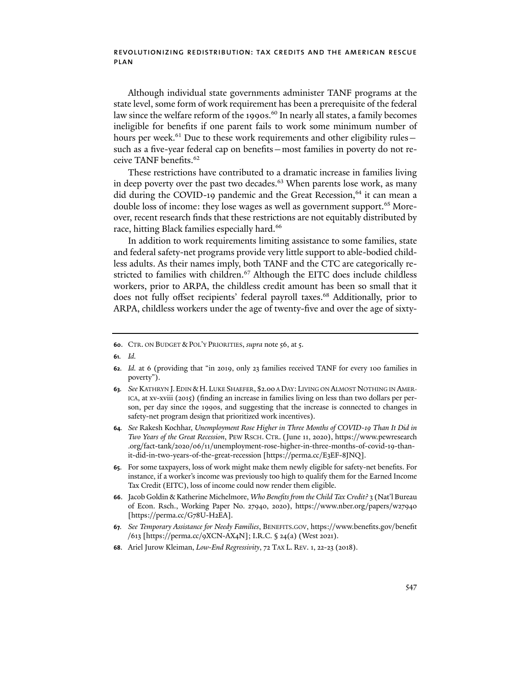Although individual state governments administer TANF programs at the state level, some form of work requirement has been a prerequisite of the federal law since the welfare reform of the 1990s.<sup>60</sup> In nearly all states, a family becomes ineligible for benefits if one parent fails to work some minimum number of hours per week.<sup>61</sup> Due to these work requirements and other eligibility rulessuch as a five-year federal cap on benefits—most families in poverty do not receive TANF benefits.62

These restrictions have contributed to a dramatic increase in families living in deep poverty over the past two decades.<sup>63</sup> When parents lose work, as many did during the COVID-19 pandemic and the Great Recession,<sup>64</sup> it can mean a double loss of income: they lose wages as well as government support.<sup>65</sup> Moreover, recent research finds that these restrictions are not equitably distributed by race, hitting Black families especially hard.<sup>66</sup>

In addition to work requirements limiting assistance to some families, state and federal safety-net programs provide very little support to able-bodied childless adults. As their names imply, both TANF and the CTC are categorically restricted to families with children.<sup>67</sup> Although the EITC does include childless workers, prior to ARPA, the childless credit amount has been so small that it does not fully offset recipients' federal payroll taxes.<sup>68</sup> Additionally, prior to ARPA, childless workers under the age of twenty-five and over the age of sixty-

**<sup>60</sup>**. CTR. ON BUDGET &POL'Y PRIORITIES, *supra* note 56, at 5.

**<sup>61</sup>***. Id.*

**<sup>62</sup>***. Id.* at 6 (providing that "in 2019, only 23 families received TANF for every 100 families in poverty").

**<sup>63</sup>***. See* KATHRYN J.EDIN &H. LUKE SHAEFER, \$2.00 A DAY: LIVING ON ALMOST NOTHING IN AMER-ICA, at xv-xviii (2015) (finding an increase in families living on less than two dollars per person, per day since the 1990s, and suggesting that the increase is connected to changes in safety-net program design that prioritized work incentives).

**<sup>64</sup>***. See* Rakesh Kochhar, *Unemployment Rose Higher in Three Months of COVID-19 Than It Did in Two Years of the Great Recession*, PEW RSCH. CTR. (June 11, 2020), https://www.pewresearch .org/fact-tank/2020/06/11/unemployment-rose-higher-in-three-months-of-covid-19-thanit-did-in-two-years-of-the-great-recession [https://perma.cc/E3EF-8JNQ].

**<sup>65</sup>**. For some taxpayers, loss of work might make them newly eligible for safety-net benefits. For instance, if a worker's income was previously too high to qualify them for the Earned Income Tax Credit (EITC), loss of income could now render them eligible.

**<sup>66</sup>**. Jacob Goldin & Katherine Michelmore, *Who Benefits from the Child Tax Credit?* 3 (Nat'l Bureau of Econ. Rsch., Working Paper No. 27940, 2020), https://www.nber.org/papers/w27940 [https://perma.cc/G78U-H2EA].

**<sup>67</sup>***. See Temporary Assistance for Needy Families*, BENEFITS.GOV, https://www.benefits.gov/benefit /613 [https://perma.cc/9XCN-AX4N]; I.R.C. § 24(a) (West 2021).

**<sup>68</sup>**. Ariel Jurow Kleiman, *Low-End Regressivity*, 72 TAX L. REV. 1, 22-23 (2018).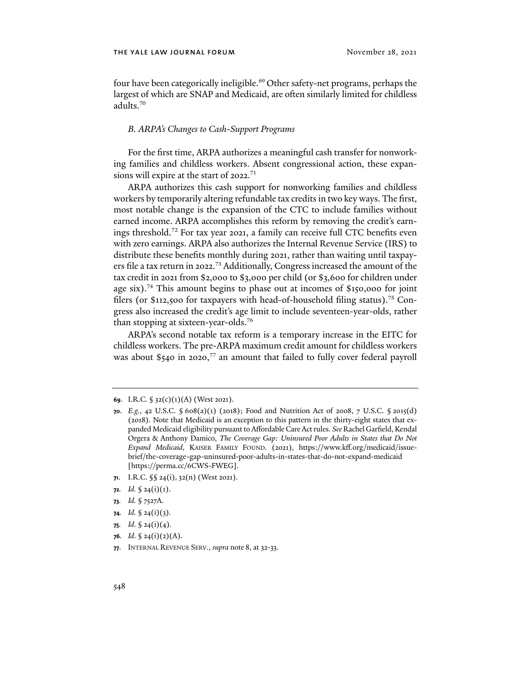four have been categorically ineligible.<sup>69</sup> Other safety-net programs, perhaps the largest of which are SNAP and Medicaid, are ofen similarly limited for childless adults.70

# *B. ARPA's Changes to Cash-Support Programs*

For the first time, ARPA authorizes a meaningful cash transfer for nonworking families and childless workers. Absent congressional action, these expansions will expire at the start of 2022.<sup>71</sup>

ARPA authorizes this cash support for nonworking families and childless workers by temporarily altering refundable tax credits in two key ways. The first, most notable change is the expansion of the CTC to include families without earned income. ARPA accomplishes this reform by removing the credit's earnings threshold.72 For tax year 2021, a family can receive full CTC benefits even with zero earnings. ARPA also authorizes the Internal Revenue Service (IRS) to distribute these benefits monthly during 2021, rather than waiting until taxpayers file a tax return in 2022.<sup>73</sup> Additionally, Congress increased the amount of the tax credit in 2021 from \$2,000 to \$3,000 per child (or \$3,600 for children under age six).<sup>74</sup> This amount begins to phase out at incomes of  $$150,000$  for joint filers (or \$112,500 for taxpayers with head-of-household filing status).<sup>75</sup> Congress also increased the credit's age limit to include seventeen-year-olds, rather than stopping at sixteen-year-olds.76

ARPA's second notable tax reform is a temporary increase in the EITC for childless workers. The pre-ARPA maximum credit amount for childless workers was about \$540 in 2020, <sup>77</sup> an amount that failed to fully cover federal payroll

- **71**. I.R.C. §§ 24(i), 32(n) (West 2021).
- **72***. Id.* § 24(i)(1).
- **73***. Id.* § 7527A.
- **74***. Id.* § 24(i)(3).
- **75***. Id*. § 24(i)(4).
- **76.** *Id.*  $\oint 24(i)(2)(A)$ .
- **77**. INTERNAL REVENUE SERV., *supra* note 8, at 32-33.

**<sup>69</sup>**. I.R.C. § 32(c)(1)(A) (West 2021).

**<sup>70</sup>***. E.g.*, 42 U.S.C. § 608(a)(1) (2018); Food and Nutrition Act of 2008, 7 U.S.C. § 2015(d) (2018). Note that Medicaid is an exception to this pattern in the thirty-eight states that expanded Medicaid eligibility pursuant to Affordable Care Act rules. *See* Rachel Garfield, Kendal Orgera & Anthony Damico, *The Coverage Gap: Uninsured Poor Adults in States that Do Not Expand Medicaid*, KAISER FAMILY FOUND. (2021), https://www.kff.org/medicaid/issuebrief/the-coverage-gap-uninsured-poor-adults-in-states-that-do-not-expand-medicaid [https://perma.cc/6CWS-FWEG].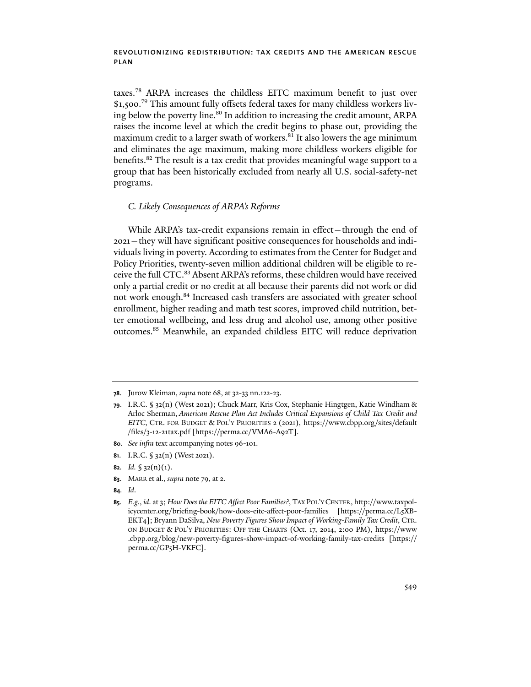taxes.78 ARPA increases the childless EITC maximum benefit to just over \$1,500.<sup>79</sup> This amount fully offsets federal taxes for many childless workers living below the poverty line.<sup>80</sup> In addition to increasing the credit amount, ARPA raises the income level at which the credit begins to phase out, providing the maximum credit to a larger swath of workers.<sup>81</sup> It also lowers the age minimum and eliminates the age maximum, making more childless workers eligible for benefits.82 The result is a tax credit that provides meaningful wage support to a group that has been historically excluded from nearly all U.S. social-safety-net programs.

# *C. Likely Consequences of ARPA's Reforms*

While ARPA's tax-credit expansions remain in effect—through the end of 2021—they will have significant positive consequences for households and individuals living in poverty. According to estimates from the Center for Budget and Policy Priorities, twenty-seven million additional children will be eligible to receive the full CTC.<sup>83</sup> Absent ARPA's reforms, these children would have received only a partial credit or no credit at all because their parents did not work or did not work enough.84 Increased cash transfers are associated with greater school enrollment, higher reading and math test scores, improved child nutrition, better emotional wellbeing, and less drug and alcohol use, among other positive outcomes.85 Meanwhile, an expanded childless EITC will reduce deprivation

- **80***. See infra* text accompanying notes 96-101.
- **81**. I.R.C. § 32(n) (West 2021).
- **82***. Id.* § 32(n)(1).
- **83**. MARR et al., *supra* note 79, at 2.
- **84***. Id*.

**<sup>78</sup>**. Jurow Kleiman, *supra* note 68, at 32-33 nn.122-23.

**<sup>79</sup>**. I.R.C. § 32(n) (West 2021); Chuck Marr, Kris Cox, Stephanie Hingtgen, Katie Windham & Arloc Sherman, *American Rescue Plan Act Includes Critical Expansions of Child Tax Credit and EITC*, CTR. FOR BUDGET & POL'Y PRIORITIES 2 (2021), https://www.cbpp.org/sites/default /files/3-12-21tax.pdf [https://perma.cc/VMA6-A92T].

**<sup>85</sup>***. E.g.*, *id*. at 3; *How Does the EITC Affect Poor Families?*, TAX POL'Y CENTER, http://www.taxpolicycenter.org/briefing-book/how-does-eitc-affect-poor-families [https://perma.cc/L5XB-EKT4]; Bryann DaSilva, *New Poverty Figures Show Impact of Working-Family Tax Credit*, CTR. ON BUDGET & POL'Y PRIORITIES: OFF THE CHARTS (Oct. 17, 2014, 2:00 PM), https://www .cbpp.org/blog/new-poverty-figures-show-impact-of-working-family-tax-credits [https:// perma.cc/GP5H-VKFC].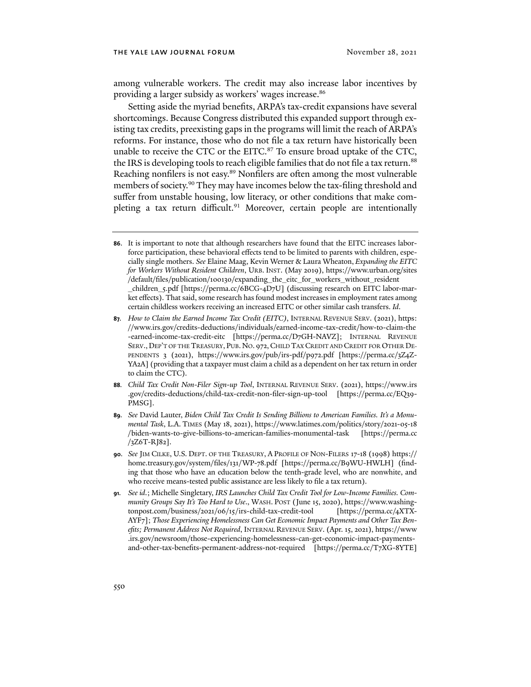among vulnerable workers. The credit may also increase labor incentives by providing a larger subsidy as workers' wages increase.86

Setting aside the myriad benefits, ARPA's tax-credit expansions have several shortcomings. Because Congress distributed this expanded support through existing tax credits, preexisting gaps in the programs will limit the reach of ARPA's reforms. For instance, those who do not file a tax return have historically been unable to receive the CTC or the EITC.<sup>87</sup> To ensure broad uptake of the CTC, the IRS is developing tools to reach eligible families that do not file a tax return.<sup>88</sup> Reaching nonfilers is not easy.<sup>89</sup> Nonfilers are often among the most vulnerable members of society.<sup>90</sup> They may have incomes below the tax-filing threshold and suffer from unstable housing, low literacy, or other conditions that make completing a tax return difficult.<sup>91</sup> Moreover, certain people are intentionally

- **88***. Child Tax Credit Non-Filer Sign-up Tool*, INTERNAL REVENUE SERV. (2021), https://www.irs .gov/credits-deductions/child-tax-credit-non-filer-sign-up-tool [https://perma.cc/EQ39- PMSG].
- **89***. See* David Lauter, *Biden Child Tax Credit Is Sending Billions to American Families. It's a Monumental Task*, L.A. TIMES (May 18, 2021), https://www.latimes.com/politics/story/2021-05-18 /biden-wants-to-give-billions-to-american-families-monumental-task [https://perma.cc /3Z6T-RJ82].
- **90***. See* JIM CILKE, U.S. DEPT. OF THE TREASURY, A PROFILE OF NON-FILERS 17-18 (1998) https:// home.treasury.gov/system/files/131/WP-78.pdf [https://perma.cc/B9WU-HWLH] (finding that those who have an education below the tenth-grade level, who are nonwhite, and who receive means-tested public assistance are less likely to file a tax return).
- **91***. See id*.; Michelle Singletary, *IRS Launches Child Tax Credit Tool for Low-Income Families. Community Groups Say It's Too Hard to Use*., WASH. POST (June 15, 2020), https://www.washingtonpost.com/business/2021/06/15/irs-child-tax-credit-tool [https://perma.cc/4XTX-AYF7]; *Those Experiencing Homelessness Can Get Economic Impact Payments and Other Tax Benefits; Permanent Address Not Required*, INTERNAL REVENUE SERV. (Apr. 15, 2021), https://www .irs.gov/newsroom/those-experiencing-homelessness-can-get-economic-impact-paymentsand-other-tax-benefits-permanent-address-not-required [https://perma.cc/T7XG-8YTE]

**<sup>86</sup>**. It is important to note that although researchers have found that the EITC increases laborforce participation, these behavioral effects tend to be limited to parents with children, especially single mothers. *See* Elaine Maag, Kevin Werner & Laura Wheaton, *Expanding the EITC for Workers Without Resident Children*, URB. INST. (May 2019), https://www.urban.org/sites /default/files/publication/100130/expanding\_the\_eitc\_for\_workers\_without\_resident \_children\_5.pdf [https://perma.cc/6BCG-4D7U] (discussing research on EITC labor-market effects). That said, some research has found modest increases in employment rates among certain childless workers receiving an increased EITC or other similar cash transfers. *Id*.

**<sup>87</sup>***. How to Claim the Earned Income Tax Credit (EITC)*, INTERNAL REVENUE SERV. (2021), https: //www.irs.gov/credits-deductions/individuals/earned-income-tax-credit/how-to-claim-the -earned-income-tax-credit-eitc [https://perma.cc/D7GH-NAVZ]; INTERNAL REVENUE SERV., DEP'T OF THE TREASURY, PUB. NO. 972, CHILD TAX CREDIT AND CREDIT FOR OTHER DE-PENDENTS 3 (2021), https://www.irs.gov/pub/irs-pdf/p972.pdf [https://perma.cc/3Z4Z-YA2A] (providing that a taxpayer must claim a child as a dependent on her tax return in order to claim the CTC).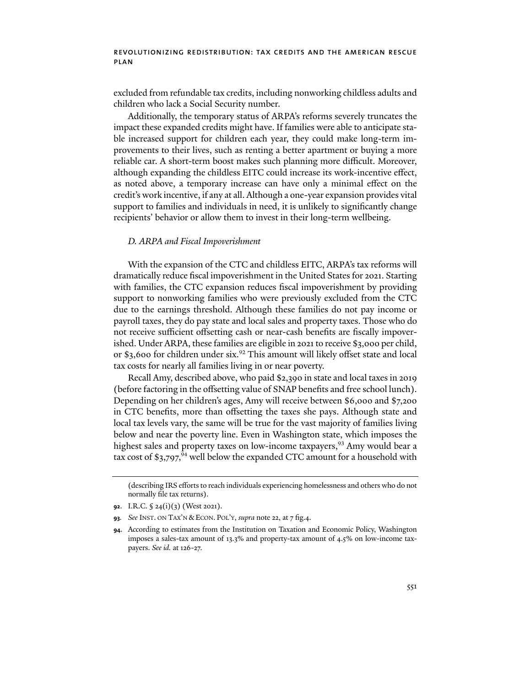excluded from refundable tax credits, including nonworking childless adults and children who lack a Social Security number.

Additionally, the temporary status of ARPA's reforms severely truncates the impact these expanded credits might have. If families were able to anticipate stable increased support for children each year, they could make long-term improvements to their lives, such as renting a better apartment or buying a more reliable car. A short-term boost makes such planning more difficult. Moreover, although expanding the childless EITC could increase its work-incentive effect, as noted above, a temporary increase can have only a minimal effect on the credit's work incentive, if any at all. Although a one-year expansion provides vital support to families and individuals in need, it is unlikely to significantly change recipients' behavior or allow them to invest in their long-term wellbeing.

#### *D. ARPA and Fiscal Impoverishment*

With the expansion of the CTC and childless EITC, ARPA's tax reforms will dramatically reduce fiscal impoverishment in the United States for 2021. Starting with families, the CTC expansion reduces fiscal impoverishment by providing support to nonworking families who were previously excluded from the CTC due to the earnings threshold. Although these families do not pay income or payroll taxes, they do pay state and local sales and property taxes. Those who do not receive sufficient offsetting cash or near-cash benefits are fiscally impoverished. Under ARPA, these families are eligible in 2021 to receive \$3,000 per child, or \$3,600 for children under six.<sup>92</sup> This amount will likely offset state and local tax costs for nearly all families living in or near poverty.

Recall Amy, described above, who paid \$2,390 in state and local taxes in 2019 (before factoring in the offsetting value of SNAP benefits and free school lunch). Depending on her children's ages, Amy will receive between \$6,000 and \$7,200 in CTC benefits, more than offsetting the taxes she pays. Although state and local tax levels vary, the same will be true for the vast majority of families living below and near the poverty line. Even in Washington state, which imposes the highest sales and property taxes on low-income taxpayers,<sup>93</sup> Amy would bear a tax cost of \$3,797,<sup>94</sup> well below the expanded CTC amount for a household with

<sup>(</sup>describing IRS efforts to reach individuals experiencing homelessness and others who do not normally file tax returns).

**<sup>92</sup>**. I.R.C. § 24(i)(3) (West 2021).

**<sup>93</sup>***. See* INST. ON TAX'N &ECON. POL'Y, *supra* note 22, at 7 fig.4.

**<sup>94</sup>**. According to estimates from the Institution on Taxation and Economic Policy, Washington imposes a sales-tax amount of 13.3% and property-tax amount of 4.5% on low-income taxpayers. *See id.* at 126-27.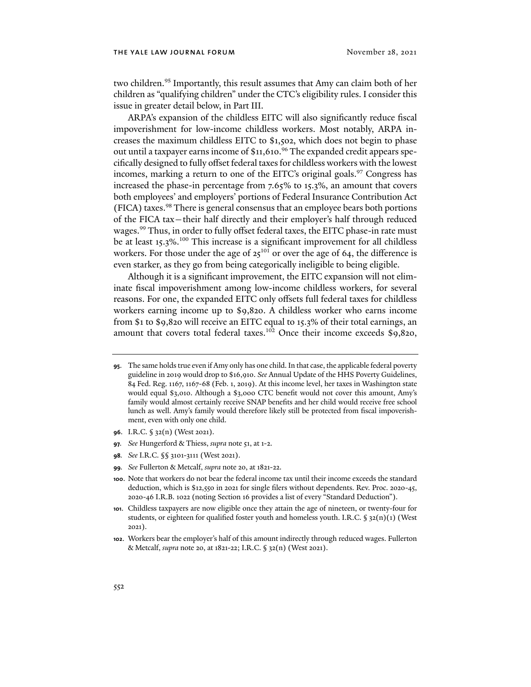two children.<sup>95</sup> Importantly, this result assumes that Amy can claim both of her children as "qualifying children" under the CTC's eligibility rules. I consider this issue in greater detail below, in Part III.

ARPA's expansion of the childless EITC will also significantly reduce fiscal impoverishment for low-income childless workers. Most notably, ARPA increases the maximum childless EITC to \$1,502, which does not begin to phase out until a taxpayer earns income of \$11,610. <sup>96</sup> The expanded credit appears specifically designed to fully offset federal taxes for childless workers with the lowest incomes, marking a return to one of the EITC's original goals.<sup>97</sup> Congress has increased the phase-in percentage from 7.65% to 15.3%, an amount that covers both employees' and employers' portions of Federal Insurance Contribution Act (FICA) taxes.98 There is general consensus that an employee bears both portions of the FICA tax—their half directly and their employer's half through reduced wages.<sup>99</sup> Thus, in order to fully offset federal taxes, the EITC phase-in rate must be at least 15.3%.<sup>100</sup> This increase is a significant improvement for all childless workers. For those under the age of  $25^{101}$  or over the age of 64, the difference is even starker, as they go from being categorically ineligible to being eligible.

Although it is a significant improvement, the EITC expansion will not eliminate fiscal impoverishment among low-income childless workers, for several reasons. For one, the expanded EITC only offsets full federal taxes for childless workers earning income up to \$9,820. A childless worker who earns income from \$1 to \$9,820 will receive an EITC equal to 15.3% of their total earnings, an amount that covers total federal taxes.<sup>102</sup> Once their income exceeds  $$9,820$ ,

- **96**. I.R.C. § 32(n) (West 2021).
- **97***. See* Hungerford & Thiess, *supra* note 51, at 1-2.
- **98***. See* I.R.C. §§ 3101-3111 (West 2021).
- **99***. See* Fullerton & Metcalf, *supra* note 20, at 1821-22.
- **100**. Note that workers do not bear the federal income tax until their income exceeds the standard deduction, which is \$12,550 in 2021 for single filers without dependents. Rev. Proc. 2020-45, 2020-46 I.R.B. 1022 (noting Section 16 provides a list of every "Standard Deduction").
- **101**. Childless taxpayers are now eligible once they attain the age of nineteen, or twenty-four for students, or eighteen for qualified foster youth and homeless youth. I.R.C.  $\S$  32(n)(1) (West 2021).
- **102**. Workers bear the employer's half of this amount indirectly through reduced wages. Fullerton & Metcalf, *supra* note 20, at 1821-22; I.R.C. § 32(n) (West 2021).

**<sup>95</sup>**. The same holds true even if Amy only has one child. In that case, the applicable federal poverty guideline in 2019 would drop to \$16,910. *See* Annual Update of the HHS Poverty Guidelines, 84 Fed. Reg. 1167, 1167-68 (Feb. 1, 2019). At this income level, her taxes in Washington state would equal \$3,010. Although a \$3,000 CTC benefit would not cover this amount, Amy's family would almost certainly receive SNAP benefits and her child would receive free school lunch as well. Amy's family would therefore likely still be protected from fiscal impoverishment, even with only one child.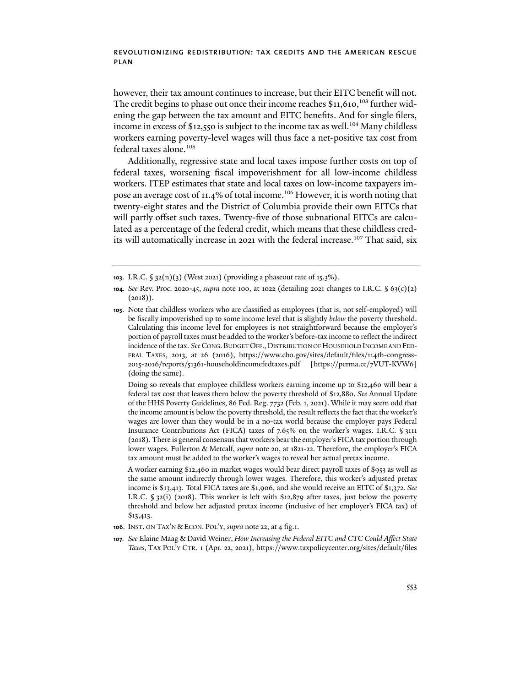however, their tax amount continues to increase, but their EITC benefit will not. The credit begins to phase out once their income reaches \$11,610,<sup>103</sup> further widening the gap between the tax amount and EITC benefits. And for single filers, income in excess of \$12,550 is subject to the income tax as well.<sup>104</sup> Many childless workers earning poverty-level wages will thus face a net-positive tax cost from federal taxes alone.105

Additionally, regressive state and local taxes impose further costs on top of federal taxes, worsening fiscal impoverishment for all low-income childless workers. ITEP estimates that state and local taxes on low-income taxpayers impose an average cost of 11.4% of total income.106 However, it is worth noting that twenty-eight states and the District of Columbia provide their own EITCs that will partly offset such taxes. Twenty-five of those subnational EITCs are calculated as a percentage of the federal credit, which means that these childless credits will automatically increase in 2021 with the federal increase.<sup>107</sup> That said, six

Doing so reveals that employee childless workers earning income up to \$12,460 will bear a federal tax cost that leaves them below the poverty threshold of \$12,880. *See* Annual Update of the HHS Poverty Guidelines, 86 Fed. Reg. 7732 (Feb. 1, 2021). While it may seem odd that the income amount is below the poverty threshold, the result reflects the fact that the worker's wages are lower than they would be in a no-tax world because the employer pays Federal Insurance Contributions Act (FICA) taxes of 7.65% on the worker's wages. I.R.C. § 3111 (2018). There is general consensus that workers bear the employer's FICA tax portion through lower wages. Fullerton & Metcalf, *supra* note 20, at 1821-22. Therefore, the employer's FICA tax amount must be added to the worker's wages to reveal her actual pretax income.

A worker earning \$12,460 in market wages would bear direct payroll taxes of \$953 as well as the same amount indirectly through lower wages. Therefore, this worker's adjusted pretax income is \$13,413. Total FICA taxes are \$1,906, and she would receive an EITC of \$1,372. *See* I.R.C.  $\S$  32(i) (2018). This worker is left with \$12,879 after taxes, just below the poverty threshold and below her adjusted pretax income (inclusive of her employer's FICA tax) of \$13,413.

- **106**. INST. ON TAX'N &ECON. POL'Y, *supra* note 22, at 4 fig.1.
- **107***. See* Elaine Maag & David Weiner, *How Increasing the Federal EITC and CTC Could Affect State Taxes*, TAX POL'Y CTR. 1 (Apr. 22, 2021), https://www.taxpolicycenter.org/sites/default/files

**<sup>103</sup>**. I.R.C. § 32(n)(3) (West 2021) (providing a phaseout rate of 15.3%).

**<sup>104</sup>***. See* Rev. Proc. 2020-45, *supra* note 100, at 1022 (detailing 2021 changes to I.R.C. § 63(c)(2)  $(2018)$ .

**<sup>105</sup>**. Note that childless workers who are classified as employees (that is, not self-employed) will be fiscally impoverished up to some income level that is slightly *below* the poverty threshold. Calculating this income level for employees is not straightforward because the employer's portion of payroll taxes must be added to the worker's before-tax income to reflect the indirect incidence of the tax. *See* CONG.BUDGET OFF.,DISTRIBUTION OF HOUSEHOLD INCOME AND FED-ERAL TAXES, 2013, at 26 (2016), https://www.cbo.gov/sites/default/files/114th-congress-2015-2016/reports/51361-householdincomefedtaxes.pdf [https://perma.cc/7VUT-KVW6] (doing the same).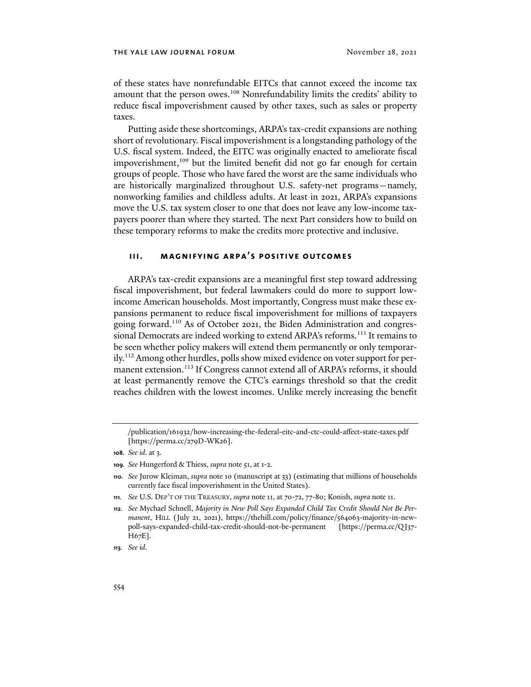of these states have nonrefundable EITCs that cannot exceed the income tax amount that the person owes.<sup>108</sup> Nonrefundability limits the credits' ability to reduce fiscal impoverishment caused by other taxes, such as sales or property taxes.

Putting aside these shortcomings, ARPA's tax-credit expansions are nothing short of revolutionary. Fiscal impoverishment is a longstanding pathology of the U.S. fiscal system. Indeed, the EITC was originally enacted to ameliorate fiscal impoverishment, $109$  but the limited benefit did not go far enough for certain groups of people. Those who have fared the worst are the same individuals who are historically marginalized throughout U.S. safety-net programs—namely, nonworking families and childless adults. At least in 2021, ARPA's expansions move the U.S. tax system closer to one that does not leave any low-income taxpayers poorer than where they started. The next Part considers how to build on these temporary reforms to make the credits more protective and inclusive.

# **iii. magnifying arpa's positive outcomes**

ARPA's tax-credit expansions are a meaningful first step toward addressing fiscal impoverishment, but federal lawmakers could do more to support lowincome American households. Most importantly, Congress must make these expansions permanent to reduce fiscal impoverishment for millions of taxpayers going forward.110 As of October 2021, the Biden Administration and congressional Democrats are indeed working to extend ARPA's reforms.<sup>111</sup> It remains to be seen whether policy makers will extend them permanently or only temporarily.112 Among other hurdles, polls show mixed evidence on voter support for permanent extension.<sup>113</sup> If Congress cannot extend all of ARPA's reforms, it should at least permanently remove the CTC's earnings threshold so that the credit reaches children with the lowest incomes. Unlike merely increasing the benefit

**113***. See id*.

<sup>/</sup>publication/161932/how-increasing-the-federal-eitc-and-ctc-could-affect-state-taxes.pdf [https://perma.cc/279D-WK26].

**<sup>108</sup>***. See id*. at 3.

**<sup>109</sup>***. See* Hungerford & Thiess, *supra* note 51, at 1-2.

**<sup>110</sup>***. See* Jurow Kleiman, *supra* note 10 (manuscript at 33) (estimating that millions of households currently face fiscal impoverishment in the United States).

**<sup>111</sup>***. See* U.S. DEP'T OF THE TREASURY, *supra* note 11, at 70-72, 77-80; Konish, *supra* note 11.

**<sup>112</sup>***. See* Mychael Schnell, *Majority in New Poll Says Expanded Child Tax Credit Should Not Be Permanent*, HILL (July 21, 2021), https://thehill.com/policy/finance/564063-majority-in-newpoll-says-expanded-child-tax-credit-should-not-be-permanent [https://perma.cc/QJ37- H67E].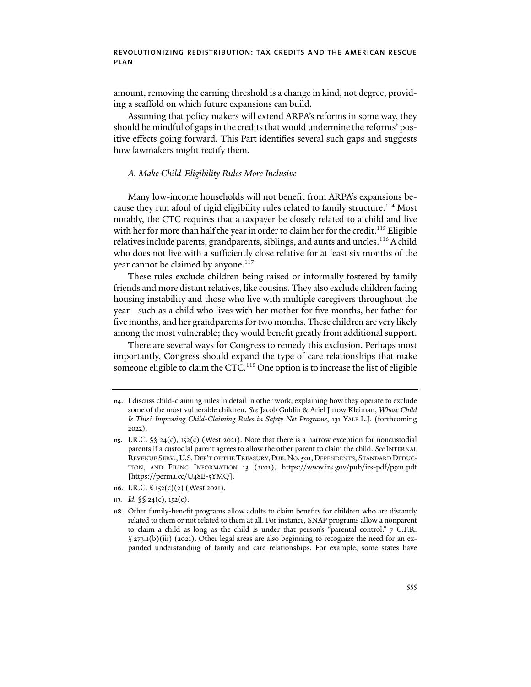amount, removing the earning threshold is a change in kind, not degree, providing a scaffold on which future expansions can build.

Assuming that policy makers will extend ARPA's reforms in some way, they should be mindful of gaps in the credits that would undermine the reforms' positive effects going forward. This Part identifies several such gaps and suggests how lawmakers might rectify them.

#### *A. Make Child-Eligibility Rules More Inclusive*

Many low-income households will not benefit from ARPA's expansions because they run afoul of rigid eligibility rules related to family structure.<sup>114</sup> Most notably, the CTC requires that a taxpayer be closely related to a child and live with her for more than half the year in order to claim her for the credit.<sup>115</sup> Eligible relatives include parents, grandparents, siblings, and aunts and uncles.<sup>116</sup> A child who does not live with a sufficiently close relative for at least six months of the year cannot be claimed by anyone.<sup>117</sup>

These rules exclude children being raised or informally fostered by family friends and more distant relatives, like cousins. They also exclude children facing housing instability and those who live with multiple caregivers throughout the year—such as a child who lives with her mother for five months, her father for five months, and her grandparents for two months. These children are very likely among the most vulnerable; they would benefit greatly from additional support.

There are several ways for Congress to remedy this exclusion. Perhaps most importantly, Congress should expand the type of care relationships that make someone eligible to claim the CTC.<sup>118</sup> One option is to increase the list of eligible

- **116**. I.R.C. § 152(c)(2) (West 2021).
- **117***. Id.* §§ 24(c), 152(c).

**<sup>114</sup>**. I discuss child-claiming rules in detail in other work, explaining how they operate to exclude some of the most vulnerable children. *See* Jacob Goldin & Ariel Jurow Kleiman, *Whose Child Is This? Improving Child-Claiming Rules in Safety Net Programs*, 131 YALE L.J. (forthcoming 2022).

**<sup>115</sup>**. I.R.C. §§ 24(c), 152(c) (West 2021). Note that there is a narrow exception for noncustodial parents if a custodial parent agrees to allow the other parent to claim the child. See INTERNAL REVENUE SERV.,U.S. DEP'T OF THE TREASURY, PUB.NO.501, DEPENDENTS, STANDARD DEDUC-TION, AND FILING INFORMATION 13 (2021), https://www.irs.gov/pub/irs-pdf/p501.pdf [https://perma.cc/U48E-5YMQ].

**<sup>118</sup>***.* Other family-benefit programs allow adults to claim benefits for children who are distantly related to them or not related to them at all. For instance, SNAP programs allow a nonparent to claim a child as long as the child is under that person's "parental control." 7 C.F.R. § 273.1(b)(iii) (2021). Other legal areas are also beginning to recognize the need for an expanded understanding of family and care relationships. For example, some states have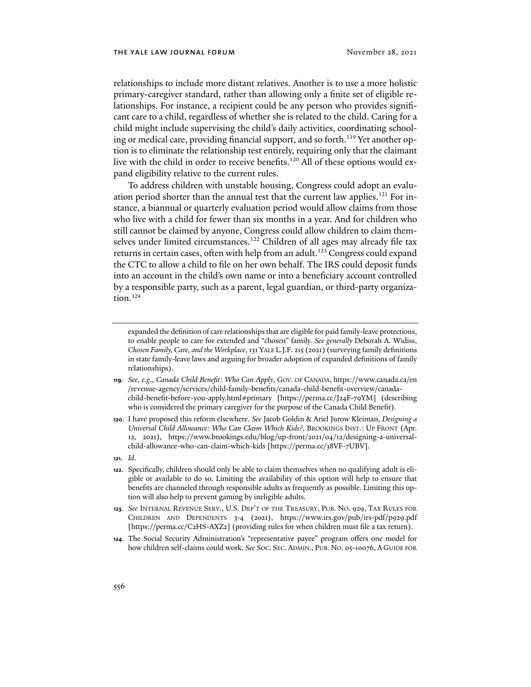relationships to include more distant relatives. Another is to use a more holistic primary-caregiver standard, rather than allowing only a finite set of eligible relationships. For instance, a recipient could be any person who provides significant care to a child, regardless of whether she is related to the child. Caring for a child might include supervising the child's daily activities, coordinating schooling or medical care, providing financial support, and so forth.<sup>119</sup> Yet another option is to eliminate the relationship test entirely, requiring only that the claimant live with the child in order to receive benefits.<sup>120</sup> All of these options would expand eligibility relative to the current rules.

To address children with unstable housing, Congress could adopt an evaluation period shorter than the annual test that the current law applies.<sup>121</sup> For instance, a biannual or quarterly evaluation period would allow claims from those who live with a child for fewer than six months in a year. And for children who still cannot be claimed by anyone, Congress could allow children to claim themselves under limited circumstances.<sup>122</sup> Children of all ages may already file tax returns in certain cases, often with help from an adult.<sup>123</sup> Congress could expand the CTC to allow a child to file on her own behalf. The IRS could deposit funds into an account in the child's own name or into a beneficiary account controlled by a responsible party, such as a parent, legal guardian, or third-party organization.<sup>124</sup>

- **119***. See, e.g*., *Canada Child Benefit: Who Can Apply*, GOV. OF CANADA, https://www.canada.ca/en /revenue-agency/services/child-family-benefits/canada-child-benefit-overview/canadachild-benefit-before-you-apply.html#primary [https://perma.cc/J24F-79YM] (describing who is considered the primary caregiver for the purpose of the Canada Child Benefit).
- **120**. I have proposed this reform elsewhere. *See* Jacob Goldin & Ariel Jurow Kleiman, *Designing a Universal Child Allowance: Who Can Claim Which Kids?*, BROOKINGS INST.: UP FRONT (Apr. 12, 2021), https://www.brookings.edu/blog/up-front/2021/04/12/designing-a-universalchild-allowance-who-can-claim-which-kids [https://perma.cc/38VF-7UBV].
- **121***. Id*.
- **122**. Specifically, children should only be able to claim themselves when no qualifying adult is eligible or available to do so. Limiting the availability of this option will help to ensure that benefits are channeled through responsible adults as frequently as possible. Limiting this option will also help to prevent gaming by ineligible adults.
- **123***. See* INTERNAL REVENUE SERV., U.S. DEP'T OF THE TREASURY, PUB. NO. 929, TAX RULES FOR CHILDREN AND DEPENDENTS 3-4 (2021), https://www.irs.gov/pub/irs-pdf/p929.pdf [https://perma.cc/C2HS-AXZ2] (providing rules for when children must file a tax return).
- **124**. The Social Security Administration's "representative payee" program offers one model for how children self-claims could work. *See* SOC. SEC. ADMIN., PUB. NO. 05-10076, A GUIDE FOR

expanded the definition of care relationships that are eligible for paid family-leave protections, to enable people to care for extended and "chosen" family. *See generally* Deborah A. Widiss, *Chosen Family, Care, and the Workplace*, 131 YALE L.J.F. 215 (2021) (surveying family definitions in state family-leave laws and arguing for broader adoption of expanded definitions of family relationships).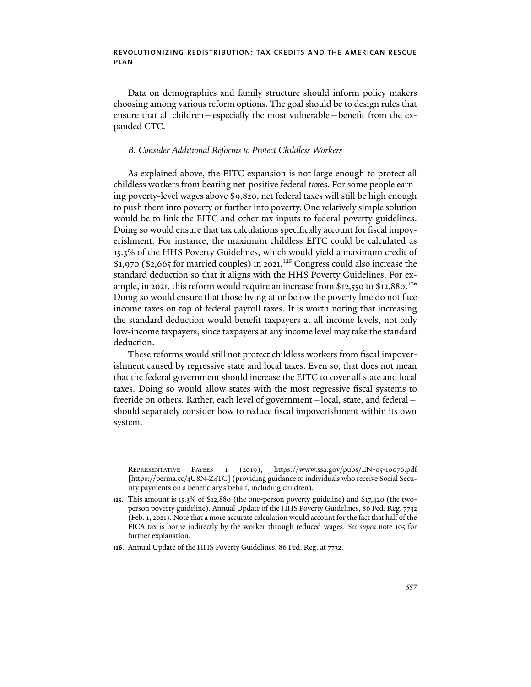Data on demographics and family structure should inform policy makers choosing among various reform options. The goal should be to design rules that ensure that all children—especially the most vulnerable—benefit from the expanded CTC.

#### *B. Consider Additional Reforms to Protect Childless Workers*

As explained above, the EITC expansion is not large enough to protect all childless workers from bearing net-positive federal taxes. For some people earning poverty-level wages above \$9,820, net federal taxes will still be high enough to push them into poverty or further into poverty. One relatively simple solution would be to link the EITC and other tax inputs to federal poverty guidelines. Doing so would ensure that tax calculations specifically account for fiscal impoverishment. For instance, the maximum childless EITC could be calculated as 15.3% of the HHS Poverty Guidelines, which would yield a maximum credit of \$1,970 (\$2,665 for married couples) in 2021. <sup>125</sup> Congress could also increase the standard deduction so that it aligns with the HHS Poverty Guidelines. For example, in 2021, this reform would require an increase from \$12,550 to \$12,880. $^{126}$ Doing so would ensure that those living at or below the poverty line do not face income taxes on top of federal payroll taxes. It is worth noting that increasing the standard deduction would benefit taxpayers at all income levels, not only low-income taxpayers, since taxpayers at any income level may take the standard deduction.

These reforms would still not protect childless workers from fiscal impoverishment caused by regressive state and local taxes. Even so, that does not mean that the federal government should increase the EITC to cover all state and local taxes. Doing so would allow states with the most regressive fiscal systems to freeride on others. Rather, each level of government—local, state, and federal should separately consider how to reduce fiscal impoverishment within its own system.

REPRESENTATIVE PAYEES 1 (2019), https://www.ssa.gov/pubs/EN-05-10076.pdf [https://perma.cc/4U8N-Z4TC] (providing guidance to individuals who receive Social Security payments on a beneficiary's behalf, including children).

**<sup>125</sup>**. This amount is 15.3% of \$12,880 (the one-person poverty guideline) and \$17,420 (the twoperson poverty guideline). Annual Update of the HHS Poverty Guidelines, 86 Fed. Reg. 7732 (Feb. 1, 2021). Note that a more accurate calculation would account for the fact that half of the FICA tax is borne indirectly by the worker through reduced wages. *See supra* note 105 for further explanation.

**<sup>126</sup>**. Annual Update of the HHS Poverty Guidelines, 86 Fed. Reg. at 7732.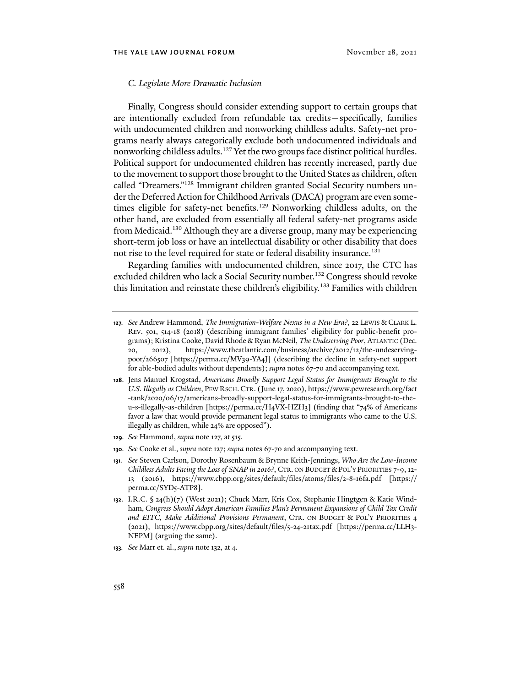#### *C. Legislate More Dramatic Inclusion*

Finally, Congress should consider extending support to certain groups that are intentionally excluded from refundable tax credits—specifically, families with undocumented children and nonworking childless adults. Safety-net programs nearly always categorically exclude both undocumented individuals and nonworking childless adults.<sup>127</sup> Yet the two groups face distinct political hurdles. Political support for undocumented children has recently increased, partly due to the movement to support those brought to the United States as children, ofen called "Dreamers."128 Immigrant children granted Social Security numbers under the Deferred Action for Childhood Arrivals (DACA) program are even sometimes eligible for safety-net benefits.<sup>129</sup> Nonworking childless adults, on the other hand, are excluded from essentially all federal safety-net programs aside from Medicaid.130 Although they are a diverse group, many may be experiencing short-term job loss or have an intellectual disability or other disability that does not rise to the level required for state or federal disability insurance.<sup>131</sup>

Regarding families with undocumented children, since 2017, the CTC has excluded children who lack a Social Security number.<sup>132</sup> Congress should revoke this limitation and reinstate these children's eligibility.<sup>133</sup> Families with children

- **128**. Jens Manuel Krogstad, *Americans Broadly Support Legal Status for Immigrants Brought to the U.S. Illegally as Children*, PEW RSCH.CTR. (June 17, 2020), https://www.pewresearch.org/fact -tank/2020/06/17/americans-broadly-support-legal-status-for-immigrants-brought-to-theu-s-illegally-as-children [https://perma.cc/H4VX-HZH3] (finding that "74% of Americans favor a law that would provide permanent legal status to immigrants who came to the U.S. illegally as children, while 24% are opposed").
- **129***. See* Hammond, *supra* note 127, at 515.
- **130***. See* Cooke et al., *supra* note 127; *supra* notes 67-70 and accompanying text.

**133***. See* Marr et. al., *supra* note 132, at 4.

**<sup>127</sup>***. See* Andrew Hammond, *The Immigration-Welfare Nexus in a New Era?*, 22 LEWIS & CLARK L. REV. 501, 514-18 (2018) (describing immigrant families' eligibility for public-benefit programs); Kristina Cooke, David Rhode & Ryan McNeil, *The Undeserving Poor*, ATLANTIC (Dec. 20, 2012), https://www.theatlantic.com/business/archive/2012/12/the-undeservingpoor/266507 [https://perma.cc/MV39-YA4J] (describing the decline in safety-net support for able-bodied adults without dependents); *supra* notes 67-70 and accompanying text.

**<sup>131</sup>***. See* Steven Carlson, Dorothy Rosenbaum & Brynne Keith-Jennings, *Who Are the Low-Income Childless Adults Facing the Loss of SNAP in 2016?*, CTR. ON BUDGET &POL'Y PRIORITIES 7-9, 12- 13 (2016), https://www.cbpp.org/sites/default/files/atoms/files/2-8-16fa.pdf [https:// perma.cc/SYD5-ATP8].

**<sup>132</sup>**. I.R.C. § 24(h)(7) (West 2021); Chuck Marr, Kris Cox, Stephanie Hingtgen & Katie Windham, *Congress Should Adopt American Families Plan's Permanent Expansions of Child Tax Credit and EITC*, *Make Additional Provisions Permanent*, CTR. ON BUDGET & POL'Y PRIORITIES 4 (2021), https://www.cbpp.org/sites/default/files/5-24-21tax.pdf [https://perma.cc/LLH3- NEPM] (arguing the same).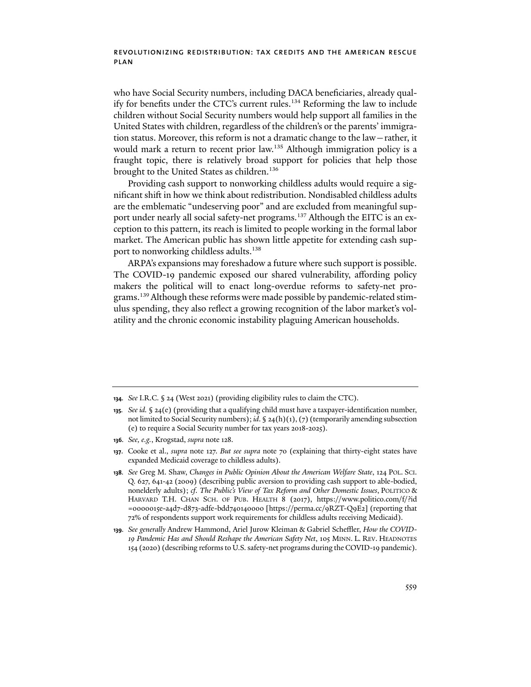who have Social Security numbers, including DACA beneficiaries, already qualify for benefits under the CTC's current rules.134 Reforming the law to include children without Social Security numbers would help support all families in the United States with children, regardless of the children's or the parents' immigration status. Moreover, this reform is not a dramatic change to the law—rather, it would mark a return to recent prior law.<sup>135</sup> Although immigration policy is a fraught topic, there is relatively broad support for policies that help those brought to the United States as children.<sup>136</sup>

Providing cash support to nonworking childless adults would require a significant shift in how we think about redistribution. Nondisabled childless adults are the emblematic "undeserving poor" and are excluded from meaningful support under nearly all social safety-net programs.<sup>137</sup> Although the EITC is an exception to this pattern, its reach is limited to people working in the formal labor market. The American public has shown little appetite for extending cash support to nonworking childless adults.<sup>138</sup>

ARPA's expansions may foreshadow a future where such support is possible. The COVID-19 pandemic exposed our shared vulnerability, affording policy makers the political will to enact long-overdue reforms to safety-net programs.<sup>139</sup> Although these reforms were made possible by pandemic-related stimulus spending, they also reflect a growing recognition of the labor market's volatility and the chronic economic instability plaguing American households.

**<sup>134</sup>***. See* I.R.C. § 24 (West 2021) (providing eligibility rules to claim the CTC).

**<sup>135</sup>***. See id.* § 24(e) (providing that a qualifying child must have a taxpayer-identification number, not limited to Social Security numbers); *id*. § 24(h)(1), (7) (temporarily amending subsection (e) to require a Social Security number for tax years 2018-2025).

**<sup>136</sup>***. See, e.g.*, Krogstad, *supra* note 128.

**<sup>137</sup>**. Cooke et al., *supra* note 127. *But see supra* note 70 (explaining that thirty-eight states have expanded Medicaid coverage to childless adults).

**<sup>138</sup>***. See* Greg M. Shaw, *Changes in Public Opinion About the American Welfare State*, 124 POL. SCI. Q. 627, 641-42 (2009) (describing public aversion to providing cash support to able-bodied, nonelderly adults); *cf*. *The Public's View of Tax Reform and Other Domestic Issues*, POLITICO & HARVARD T.H. CHAN SCH. OF PUB. HEALTH 8 (2017), https://www.politico.com/f/?id =0000015e-a4d7-d873-adfe-bdd740140000 [https://perma.cc/9RZT-Q9E2] (reporting that 72% of respondents support work requirements for childless adults receiving Medicaid).

**<sup>139</sup>***. See generally* Andrew Hammond, Ariel Jurow Kleiman & Gabriel Scheffler, *How the COVID-19 Pandemic Has and Should Reshape the American Safety Net*, 105 MINN. L. REV. HEADNOTES 154 (2020) (describing reforms to U.S. safety-net programs during the COVID-19 pandemic).